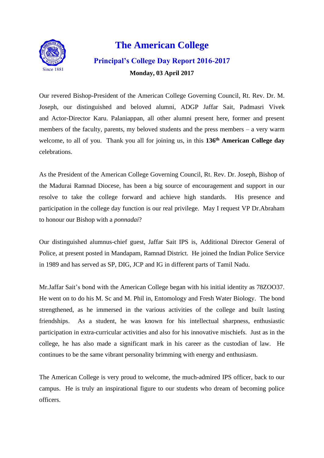

# **The American College Principal's College Day Report 2016-2017 Monday, 03 April 2017**

Our revered Bishop-President of the American College Governing Council, Rt. Rev. Dr. M. Joseph, our distinguished and beloved alumni, ADGP Jaffar Sait, Padmasri Vivek and Actor-Director Karu. Palaniappan, all other alumni present here, former and present members of the faculty, parents, my beloved students and the press members – a very warm welcome, to all of you. Thank you all for joining us, in this **136 th American College day** celebrations.

As the President of the American College Governing Council, Rt. Rev. Dr. Joseph, Bishop of the Madurai Ramnad Diocese, has been a big source of encouragement and support in our resolve to take the college forward and achieve high standards. His presence and participation in the college day function is our real privilege. May I request VP Dr.Abraham to honour our Bishop with a *ponnadai*?

Our distinguished alumnus-chief guest, Jaffar Sait IPS is, Additional Director General of Police, at present posted in Mandapam, Ramnad District. He joined the Indian Police Service in 1989 and has served as SP, DIG, JCP and IG in different parts of Tamil Nadu.

Mr.Jaffar Sait's bond with the American College began with his initial identity as 78ZOO37. He went on to do his M. Sc and M. Phil in, Entomology and Fresh Water Biology. The bond strengthened, as he immersed in the various activities of the college and built lasting friendships. As a student, he was known for his intellectual sharpness, enthusiastic participation in extra-curricular activities and also for his innovative mischiefs. Just as in the college, he has also made a significant mark in his career as the custodian of law. He continues to be the same vibrant personality brimming with energy and enthusiasm.

The American College is very proud to welcome, the much-admired IPS officer, back to our campus. He is truly an inspirational figure to our students who dream of becoming police officers.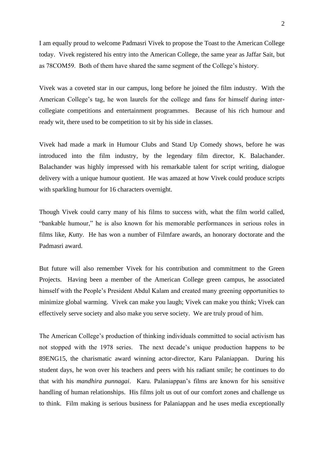I am equally proud to welcome Padmasri Vivek to propose the Toast to the American College today. Vivek registered his entry into the American College, the same year as Jaffar Sait, but as 78COM59. Both of them have shared the same segment of the College's history.

Vivek was a coveted star in our campus, long before he joined the film industry. With the American College's tag, he won laurels for the college and fans for himself during intercollegiate competitions and entertainment programmes. Because of his rich humour and ready wit, there used to be competition to sit by his side in classes.

Vivek had made a mark in Humour Clubs and Stand Up Comedy shows, before he was introduced into the film industry, by the legendary film director, K. Balachander. Balachander was highly impressed with his remarkable talent for script writing, dialogue delivery with a unique humour quotient. He was amazed at how Vivek could produce scripts with sparkling humour for 16 characters overnight.

Though Vivek could carry many of his films to success with, what the film world called, "bankable humour," he is also known for his memorable performances in serious roles in films like, *Kutty*. He has won a number of Filmfare awards, an honorary doctorate and the Padmasri award.

But future will also remember Vivek for his contribution and commitment to the Green Projects. Having been a member of the American College green campus, he associated himself with the People's President Abdul Kalam and created many greening opportunities to minimize global warming. Vivek can make you laugh; Vivek can make you think; Vivek can effectively serve society and also make you serve society. We are truly proud of him.

The American College's production of thinking individuals committed to social activism has not stopped with the 1978 series. The next decade's unique production happens to be 89ENG15, the charismatic award winning actor-director, Karu Palaniappan. During his student days, he won over his teachers and peers with his radiant smile; he continues to do that with his *mandhira punnagai*. Karu. Palaniappan's films are known for his sensitive handling of human relationships. His films jolt us out of our comfort zones and challenge us to think. Film making is serious business for Palaniappan and he uses media exceptionally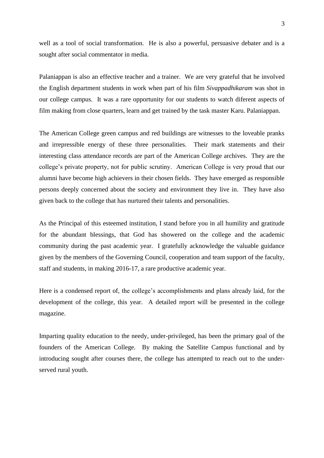well as a tool of social transformation. He is also a powerful, persuasive debater and is a sought after social commentator in media.

Palaniappan is also an effective teacher and a trainer. We are very grateful that he involved the English department students in work when part of his film *Sivappadhikaram* was shot in our college campus. It was a rare opportunity for our students to watch diferent aspects of film making from close quarters, learn and get trained by the task master Karu. Palaniappan.

The American College green campus and red buildings are witnesses to the loveable pranks and irrepressible energy of these three personalities. Their mark statements and their interesting class attendance records are part of the American College archives. They are the college's private property, not for public scrutiny. American College is very proud that our alumni have become high achievers in their chosen fields. They have emerged as responsible persons deeply concerned about the society and environment they live in. They have also given back to the college that has nurtured their talents and personalities.

As the Principal of this esteemed institution, I stand before you in all humility and gratitude for the abundant blessings, that God has showered on the college and the academic community during the past academic year. I gratefully acknowledge the valuable guidance given by the members of the Governing Council, cooperation and team support of the faculty, staff and students, in making 2016-17, a rare productive academic year.

Here is a condensed report of, the college's accomplishments and plans already laid, for the development of the college, this year. A detailed report will be presented in the college magazine.

Imparting quality education to the needy, under-privileged, has been the primary goal of the founders of the American College. By making the Satellite Campus functional and by introducing sought after courses there, the college has attempted to reach out to the underserved rural youth.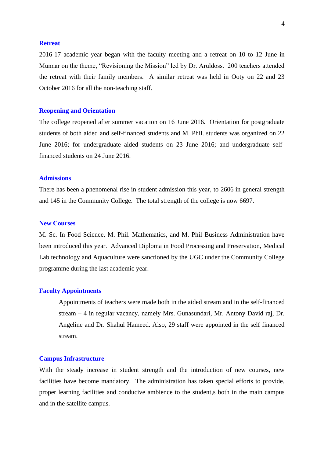## **Retreat**

2016-17 academic year began with the faculty meeting and a retreat on 10 to 12 June in Munnar on the theme, "Revisioning the Mission" led by Dr. Aruldoss. 200 teachers attended the retreat with their family members. A similar retreat was held in Ooty on 22 and 23 October 2016 for all the non-teaching staff.

# **Reopening and Orientation**

The college reopened after summer vacation on 16 June 2016. Orientation for postgraduate students of both aided and self-financed students and M. Phil. students was organized on 22 June 2016; for undergraduate aided students on 23 June 2016; and undergraduate selffinanced students on 24 June 2016.

# **Admissions**

There has been a phenomenal rise in student admission this year, to 2606 in general strength and 145 in the Community College. The total strength of the college is now 6697.

# **New Courses**

M. Sc. In Food Science, M. Phil. Mathematics, and M. Phil Business Administration have been introduced this year. Advanced Diploma in Food Processing and Preservation, Medical Lab technology and Aquaculture were sanctioned by the UGC under the Community College programme during the last academic year.

# **Faculty Appointments**

Appointments of teachers were made both in the aided stream and in the self-financed stream – 4 in regular vacancy, namely Mrs. Gunasundari, Mr. Antony David raj, Dr. Angeline and Dr. Shahul Hameed. Also, 29 staff were appointed in the self financed stream.

#### **Campus Infrastructure**

With the steady increase in student strength and the introduction of new courses, new facilities have become mandatory. The administration has taken special efforts to provide, proper learning facilities and conducive ambience to the student,s both in the main campus and in the satellite campus.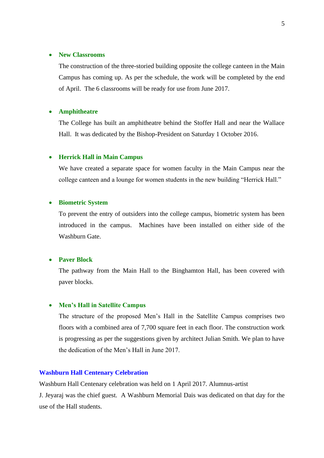## • **New Classrooms**

The construction of the three-storied building opposite the college canteen in the Main Campus has coming up. As per the schedule, the work will be completed by the end of April. The 6 classrooms will be ready for use from June 2017.

# • **Amphitheatre**

The College has built an amphitheatre behind the Stoffer Hall and near the Wallace Hall. It was dedicated by the Bishop-President on Saturday 1 October 2016.

## • **Herrick Hall in Main Campus**

We have created a separate space for women faculty in the Main Campus near the college canteen and a lounge for women students in the new building "Herrick Hall."

# • **Biometric System**

To prevent the entry of outsiders into the college campus, biometric system has been introduced in the campus. Machines have been installed on either side of the Washburn Gate.

# • **Paver Block**

The pathway from the Main Hall to the Binghamton Hall, has been covered with paver blocks.

## • **Men's Hall in Satellite Campus**

The structure of the proposed Men's Hall in the Satellite Campus comprises two floors with a combined area of 7,700 square feet in each floor. The construction work is progressing as per the suggestions given by architect Julian Smith. We plan to have the dedication of the Men's Hall in June 2017.

# **Washburn Hall Centenary Celebration**

Washburn Hall Centenary celebration was held on 1 April 2017. Alumnus-artist J. Jeyaraj was the chief guest. A Washburn Memorial Dais was dedicated on that day for the use of the Hall students.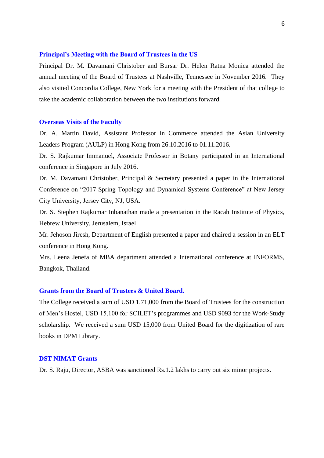## **Principal's Meeting with the Board of Trustees in the US**

Principal Dr. M. Davamani Christober and Bursar Dr. Helen Ratna Monica attended the annual meeting of the Board of Trustees at Nashville, Tennessee in November 2016. They also visited Concordia College, New York for a meeting with the President of that college to take the academic collaboration between the two institutions forward.

#### **Overseas Visits of the Faculty**

Dr. A. Martin David, Assistant Professor in Commerce attended the Asian University Leaders Program (AULP) in Hong Kong from 26.10.2016 to 01.11.2016.

Dr. S. Rajkumar Immanuel, Associate Professor in Botany participated in an International conference in Singapore in July 2016.

Dr. M. Davamani Christober, Principal & Secretary presented a paper in the International Conference on "2017 Spring Topology and Dynamical Systems Conference" at New Jersey City University, Jersey City, NJ, USA.

Dr. S. Stephen Rajkumar Inbanathan made a presentation in the Racah Institute of Physics, Hebrew University, Jerusalem, Israel

Mr. Jehoson Jiresh, Department of English presented a paper and chaired a session in an ELT conference in Hong Kong.

Mrs. Leena Jenefa of MBA department attended a International conference at INFORMS, Bangkok, Thailand.

# **Grants from the Board of Trustees & United Board.**

The College received a sum of USD 1,71,000 from the Board of Trustees for the construction of Men's Hostel, USD 15,100 for SCILET's programmes and USD 9093 for the Work-Study scholarship. We received a sum USD 15,000 from United Board for the digitization of rare books in DPM Library.

# **DST NIMAT Grants**

Dr. S. Raju, Director, ASBA was sanctioned Rs.1.2 lakhs to carry out six minor projects.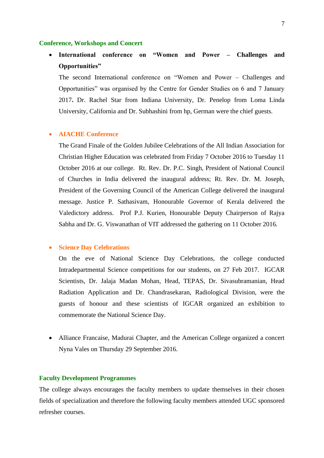#### **Conference, Workshops and Concert**

• **International conference on "Women and Power – Challenges and Opportunities"** 

The second International conference on "Women and Power – Challenges and Opportunities" was organised by the Centre for Gender Studies on 6 and 7 January 2017**.** Dr. Rachel Star from Indiana University, Dr. Penelop from Loma Linda University, California and Dr. Subhashini from hp, German were the chief guests.

# • **AIACHE Conference**

The Grand Finale of the Golden Jubilee Celebrations of the All Indian Association for Christian Higher Education was celebrated from Friday 7 October 2016 to Tuesday 11 October 2016 at our college. Rt. Rev. Dr. P.C. Singh, President of National Council of Churches in India delivered the inaugural address; Rt. Rev. Dr. M. Joseph, President of the Governing Council of the American College delivered the inaugural message. Justice P. Sathasivam, Honourable Governor of Kerala delivered the Valedictory address. Prof P.J. Kurien, Honourable Deputy Chairperson of Rajya Sabha and Dr. G. Viswanathan of VIT addressed the gathering on 11 October 2016.

## • **Science Day Celebrations**

On the eve of National Science Day Celebrations, the college conducted Intradepartmental Science competitions for our students, on 27 Feb 2017. IGCAR Scientists, Dr. Jalaja Madan Mohan, Head, TEPAS, Dr. Sivasubramanian, Head Radiation Application and Dr. Chandrasekaran, Radiological Division, were the guests of honour and these scientists of IGCAR organized an exhibition to commemorate the National Science Day.

• Alliance Francaise, Madurai Chapter, and the American College organized a concert Nyna Vales on Thursday 29 September 2016.

# **Faculty Development Programmes**

The college always encourages the faculty members to update themselves in their chosen fields of specialization and therefore the following faculty members attended UGC sponsored refresher courses.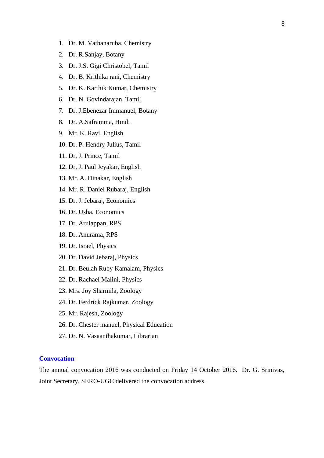- 1. Dr. M. Vathanaruba, Chemistry
- 2. Dr. R.Sanjay, Botany
- 3. Dr. J.S. Gigi Christobel, Tamil
- 4. Dr. B. Krithika rani, Chemistry
- 5. Dr. K. Karthik Kumar, Chemistry
- 6. Dr. N. Govindarajan, Tamil
- 7. Dr. J.Ebenezar Immanuel, Botany
- 8. Dr. A.Saframma, Hindi
- 9. Mr. K. Ravi, English
- 10. Dr. P. Hendry Julius, Tamil
- 11. Dr, J. Prince, Tamil
- 12. Dr, J. Paul Jeyakar, English
- 13. Mr. A. Dinakar, English
- 14. Mr. R. Daniel Rubaraj, English
- 15. Dr. J. Jebaraj, Economics
- 16. Dr. Usha, Economics
- 17. Dr. Arulappan, RPS
- 18. Dr. Anurama, RPS
- 19. Dr. Israel, Physics
- 20. Dr. David Jebaraj, Physics
- 21. Dr. Beulah Ruby Kamalam, Physics
- 22. Dr, Rachael Malini, Physics
- 23. Mrs. Joy Sharmila, Zoology
- 24. Dr. Ferdrick Rajkumar, Zoology
- 25. Mr. Rajesh, Zoology
- 26. Dr. Chester manuel, Physical Education
- 27. Dr. N. Vasaanthakumar, Librarian

# **Convocation**

The annual convocation 2016 was conducted on Friday 14 October 2016. Dr. G. Srinivas, Joint Secretary, SERO-UGC delivered the convocation address.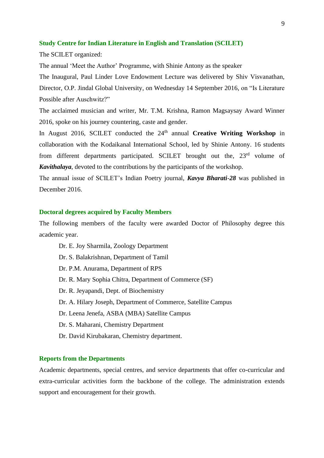# **Study Centre for Indian Literature in English and Translation (SCILET)**

The SCILET organized:

The annual 'Meet the Author' Programme, with Shinie Antony as the speaker

The Inaugural, Paul Linder Love Endowment Lecture was delivered by Shiv Visvanathan, Director, O.P. Jindal Global University, on Wednesday 14 September 2016, on "Is Literature Possible after Auschwitz?"

The acclaimed musician and writer, Mr. T.M. Krishna, Ramon Magsaysay Award Winner 2016, spoke on his journey countering, caste and gender.

In August 2016, SCILET conducted the 24<sup>th</sup> annual **Creative Writing Workshop** in collaboration with the Kodaikanal International School, led by Shinie Antony. 16 students from different departments participated. SCILET brought out the, 23<sup>rd</sup> volume of *Kavithalaya*, devoted to the contributions by the participants of the workshop.

The annual issue of SCILET's Indian Poetry journal, *Kavya Bharati-28* was published in December 2016.

# **Doctoral degrees acquired by Faculty Members**

The following members of the faculty were awarded Doctor of Philosophy degree this academic year.

Dr. E. Joy Sharmila, Zoology Department Dr. S. Balakrishnan, Department of Tamil Dr. P.M. Anurama, Department of RPS Dr. R. Mary Sophia Chitra, Department of Commerce (SF) Dr. R. Jeyapandi, Dept. of Biochemistry Dr. A. Hilary Joseph, Department of Commerce, Satellite Campus Dr. Leena Jenefa, ASBA (MBA) Satellite Campus Dr. S. Maharani, Chemistry Department Dr. David Kirubakaran, Chemistry department.

# **Reports from the Departments**

Academic departments, special centres, and service departments that offer co-curricular and extra-curricular activities form the backbone of the college. The administration extends support and encouragement for their growth.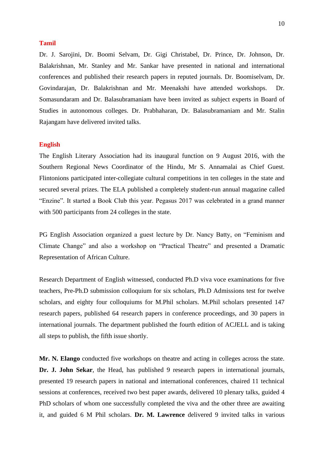# **Tamil**

Dr. J. Sarojini, Dr. Boomi Selvam, Dr. Gigi Christabel, Dr. Prince, Dr. Johnson, Dr. Balakrishnan, Mr. Stanley and Mr. Sankar have presented in national and international conferences and published their research papers in reputed journals. Dr. Boomiselvam, Dr. Govindarajan, Dr. Balakrishnan and Mr. Meenakshi have attended workshops. Dr. Somasundaram and Dr. Balasubramaniam have been invited as subject experts in Board of Studies in autonomous colleges. Dr. Prabhaharan, Dr. Balasubramaniam and Mr. Stalin Rajangam have delivered invited talks.

# **English**

The English Literary Association had its inaugural function on 9 August 2016, with the Southern Regional News Coordinator of the Hindu, Mr S. Annamalai as Chief Guest. Flintonions participated inter-collegiate cultural competitions in ten colleges in the state and secured several prizes. The ELA published a completely student-run annual magazine called "Enzine". It started a Book Club this year. Pegasus 2017 was celebrated in a grand manner with 500 participants from 24 colleges in the state.

PG English Association organized a guest lecture by Dr. Nancy Batty, on "Feminism and Climate Change" and also a workshop on "Practical Theatre" and presented a Dramatic Representation of African Culture.

Research Department of English witnessed, conducted Ph.D viva voce examinations for five teachers, Pre-Ph.D submission colloquium for six scholars, Ph.D Admissions test for twelve scholars, and eighty four colloquiums for M.Phil scholars. M.Phil scholars presented 147 research papers, published 64 research papers in conference proceedings, and 30 papers in international journals. The department published the fourth edition of ACJELL and is taking all steps to publish, the fifth issue shortly.

**Mr. N. Elango** conducted five workshops on theatre and acting in colleges across the state. **Dr. J. John Sekar**, the Head, has published 9 research papers in international journals, presented 19 research papers in national and international conferences, chaired 11 technical sessions at conferences, received two best paper awards, delivered 10 plenary talks, guided 4 PhD scholars of whom one successfully completed the viva and the other three are awaiting it, and guided 6 M Phil scholars. **Dr. M. Lawrence** delivered 9 invited talks in various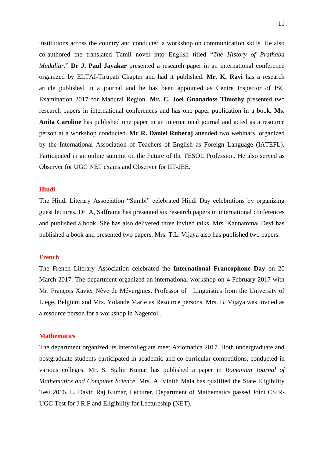institutions across the country and conducted a workshop on communication skills. He also co-authored the translated Tamil novel into English titled "*The History of Prathaba Mudaliar.*" **Dr J. Paul Jayakar** presented a research paper in an international conference organized by ELTAI-Tirupati Chapter and had it published. **Mr. K. Ravi** has a research article published in a journal and he has been appointed as Centre Inspector of ISC Examination 2017 for Madurai Region. **Mr. C. Joel Gnanadoss Timothy** presented two research papers in international conferences and has one paper publication in a book. **Ms. Anita Caroline** has published one paper in an international journal and acted as a resource person at a workshop conducted. **Mr R. Daniel Ruberaj** attended two webinars, organized by the International Association of Teachers of English as Foreign Language (IATEFL), Participated in an online summit on the Future of the TESOL Profession. He also served as Observer for UGC NET exams and Observer for IIT-JEE.

#### **Hindi**

The Hindi Literary Association "Surabi" celebrated Hindi Day celebrations by organizing guest lectures. Dr. A, Safframa has presented six research papers in international conferences and published a book. She has also delivered three invited talks. Mrs. Kannammal Devi has published a book and presented two papers. Mrs. T.L. Vijaya also has published two papers.

# **French**

The French Literary Association celebrated the **International Francophone Day** on 20 March 2017. The department organized an international workshop on 4 February 2017 with Mr. François Xavier Nève de Mévergnies, Professor of Linguistics from the University of Liege, Belgium and Mrs. Yolande Marie as Resource persons. Mrs. B. Vijaya was invited as a resource person for a workshop in Nagercoil.

# **Mathematics**

The department organized its intercollegiate meet Axiomatica 2017. Both undergraduate and postgraduate students participated in academic and co-curricular competitions, conducted in various colleges. Mr. S. Stalin Kumar has published a paper in *Romanian Journal of Mathematics and Computer Science*. Mrs. A. Vinith Mala has qualified the State Eligibility Test 2016. L. David Raj Kumar, Lecturer, Department of Mathematics passed Joint CSIR-UGC Test for J.R.F and Eligibility for Lectureship (NET).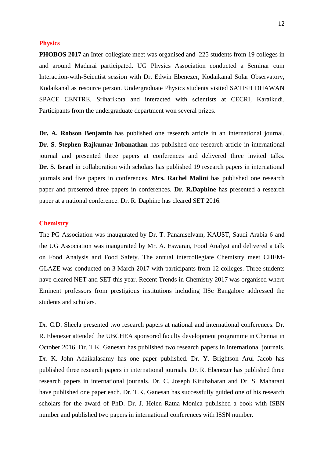# **Physics**

**PHOBOS 2017** an Inter-collegiate meet was organised and 225 students from 19 colleges in and around Madurai participated. UG Physics Association conducted a Seminar cum Interaction-with-Scientist session with Dr. Edwin Ebenezer, Kodaikanal Solar Observatory, Kodaikanal as resource person. Undergraduate Physics students visited SATISH DHAWAN SPACE CENTRE, Sriharikota and interacted with scientists at CECRI, Karaikudi. Participants from the undergraduate department won several prizes.

**Dr. A. Robson Benjamin** has published one research article in an international journal. **Dr**. **S**. **Stephen Rajkumar Inbanathan** has published one research article in international journal and presented three papers at conferences and delivered three invited talks. Dr. S. Israel in collaboration with scholars has published 19 research papers in international journals and five papers in conferences. **Mrs. Rachel Malini** has published one research paper and presented three papers in conferences. **Dr**. **R.Daphine** has presented a research paper at a national conference. Dr. R. Daphine has cleared SET 2016.

# **Chemistry**

The PG Association was inaugurated by Dr. T. Pananiselvam, KAUST, Saudi Arabia 6 and the UG Association was inaugurated by Mr. A. Eswaran, Food Analyst and delivered a talk on Food Analysis and Food Safety. The annual intercollegiate Chemistry meet CHEM-GLAZE was conducted on 3 March 2017 with participants from 12 colleges. Three students have cleared NET and SET this year. Recent Trends in Chemistry 2017 was organised where Eminent professors from prestigious institutions including IISc Bangalore addressed the students and scholars.

Dr. C.D. Sheela presented two research papers at national and international conferences. Dr. R. Ebenezer attended the UBCHEA sponsored faculty development programme in Chennai in October 2016. Dr. T.K. Ganesan has published two research papers in international journals. Dr. K. John Adaikalasamy has one paper published. Dr. Y. Brightson Arul Jacob has published three research papers in international journals. Dr. R. Ebenezer has published three research papers in international journals. Dr. C. Joseph Kirubaharan and Dr. S. Maharani have published one paper each. Dr. T.K. Ganesan has successfully guided one of his research scholars for the award of PhD. Dr. J. Helen Ratna Monica published a book with ISBN number and published two papers in international conferences with ISSN number.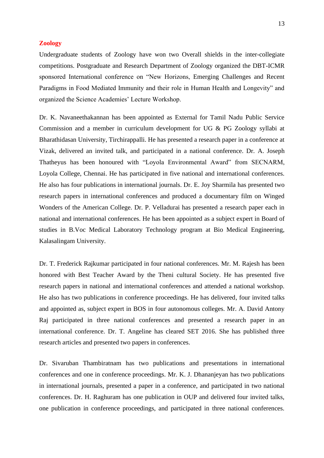# **Zoology**

Undergraduate students of Zoology have won two Overall shields in the inter-collegiate competitions. Postgraduate and Research Department of Zoology organized the DBT-ICMR sponsored International conference on "New Horizons, Emerging Challenges and Recent Paradigms in Food Mediated Immunity and their role in Human Health and Longevity" and organized the Science Academies' Lecture Workshop.

Dr. K. Navaneethakannan has been appointed as External for Tamil Nadu Public Service Commission and a member in curriculum development for UG & PG Zoology syllabi at Bharathidasan University, Tirchirappalli. He has presented a research paper in a conference at Vizak, delivered an invited talk, and participated in a national conference. Dr. A. Joseph Thatheyus has been honoured with "Loyola Environmental Award" from SECNARM, Loyola College, Chennai. He has participated in five national and international conferences. He also has four publications in international journals. Dr. E. Joy Sharmila has presented two research papers in international conferences and produced a documentary film on Winged Wonders of the American College. Dr. P. Velladurai has presented a research paper each in national and international conferences. He has been appointed as a subject expert in Board of studies in B.Voc Medical Laboratory Technology program at Bio Medical Engineering, Kalasalingam University.

Dr. T. Frederick Rajkumar participated in four national conferences. Mr. M. Rajesh has been honored with Best Teacher Award by the Theni cultural Society. He has presented five research papers in national and international conferences and attended a national workshop. He also has two publications in conference proceedings. He has delivered, four invited talks and appointed as, subject expert in BOS in four autonomous colleges. Mr. A. David Antony Raj participated in three national conferences and presented a research paper in an international conference. Dr. T. Angeline has cleared SET 2016. She has published three research articles and presented two papers in conferences.

Dr. Sivaruban Thambiratnam has two publications and presentations in international conferences and one in conference proceedings. Mr. K. J. Dhananjeyan has two publications in international journals, presented a paper in a conference, and participated in two national conferences. Dr. H. Raghuram has one publication in OUP and delivered four invited talks, one publication in conference proceedings, and participated in three national conferences.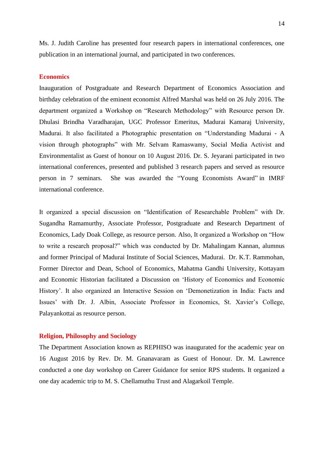Ms. J. Judith Caroline has presented four research papers in international conferences, one publication in an international journal, and participated in two conferences.

# **Economics**

Inauguration of Postgraduate and Research Department of Economics Association and birthday celebration of the eminent economist Alfred Marshal was held on 26 July 2016. The department organized a Workshop on "Research Methodology" with Resource person Dr. Dhulasi Brindha Varadharajan, UGC Professor Emeritus, Madurai Kamaraj University, Madurai. It also facilitated a Photographic presentation on "Understanding Madurai - A vision through photographs" with Mr. Selvam Ramaswamy, Social Media Activist and Environmentalist as Guest of honour on 10 August 2016. Dr. S. Jeyarani participated in two international conferences, presented and published 3 research papers and served as resource person in 7 seminars. She was awarded the "Young Economists Award" in IMRF international conference.

It organized a special discussion on "Identification of Researchable Problem" with Dr. Sugandha Ramamurthy, Associate Professor, Postgraduate and Research Department of Economics, Lady Doak College, as resource person. Also, It organized a Workshop on "How to write a research proposal?" which was conducted by Dr. Mahalingam Kannan, alumnus and former Principal of Madurai Institute of Social Sciences, Madurai. Dr. K.T. Rammohan, Former Director and Dean, School of Economics, Mahatma Gandhi University, Kottayam and Economic Historian facilitated a Discussion on 'History of Economics and Economic History'. It also organized an Interactive Session on 'Demonetization in India: Facts and Issues' with Dr. J. Albin, Associate Professor in Economics, St. Xavier's College, Palayankottai as resource person.

# **Religion, Philosophy and Sociology**

The Department Association known as REPHISO was inaugurated for the academic year on 16 August 2016 by Rev. Dr. M. Gnanavaram as Guest of Honour. Dr. M. Lawrence conducted a one day workshop on Career Guidance for senior RPS students. It organized a one day academic trip to M. S. Chellamuthu Trust and Alagarkoil Temple.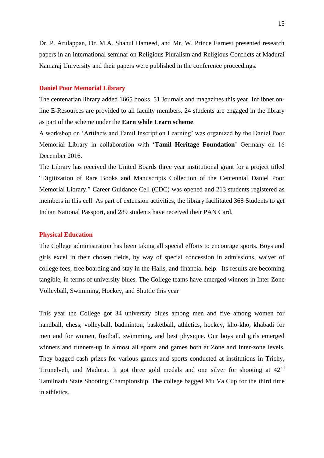Dr. P. Arulappan, Dr. M.A. Shahul Hameed, and Mr. W. Prince Earnest presented research papers in an international seminar on Religious Pluralism and Religious Conflicts at Madurai Kamaraj University and their papers were published in the conference proceedings.

## **Daniel Poor Memorial Library**

The centenarian library added 1665 books, 51 Journals and magazines this year. Inflibnet online E-Resources are provided to all faculty members. 24 students are engaged in the library as part of the scheme under the **Earn while Learn scheme**.

A workshop on 'Artifacts and Tamil Inscription Learning' was organized by the Daniel Poor Memorial Library in collaboration with '**Tamil Heritage Foundation**' Germany on 16 December 2016.

The Library has received the United Boards three year institutional grant for a project titled "Digitization of Rare Books and Manuscripts Collection of the Centennial Daniel Poor Memorial Library." Career Guidance Cell (CDC) was opened and 213 students registered as members in this cell. As part of extension activities, the library facilitated 368 Students to get Indian National Passport, and 289 students have received their PAN Card.

# **Physical Education**

The College administration has been taking all special efforts to encourage sports. Boys and girls excel in their chosen fields, by way of special concession in admissions, waiver of college fees, free boarding and stay in the Halls, and financial help. Its results are becoming tangible, in terms of university blues. The College teams have emerged winners in Inter Zone Volleyball, Swimming, Hockey, and Shuttle this year

This year the College got 34 university blues among men and five among women for handball, chess, volleyball, badminton, basketball, athletics, hockey, kho-kho, khabadi for men and for women, football, swimming, and best physique. Our boys and girls emerged winners and runners-up in almost all sports and games both at Zone and Inter-zone levels. They bagged cash prizes for various games and sports conducted at institutions in Trichy, Tirunelveli, and Madurai. It got three gold medals and one silver for shooting at 42nd Tamilnadu State Shooting Championship. The college bagged Mu Va Cup for the third time in athletics.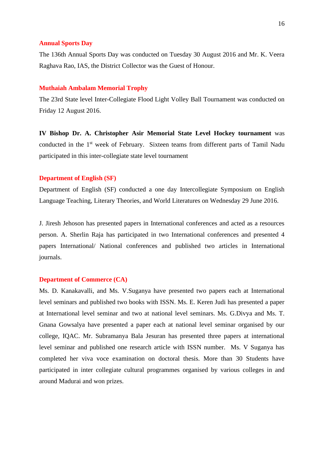## **Annual Sports Day**

The 136th Annual Sports Day was conducted on Tuesday 30 August 2016 and Mr. K. Veera Raghava Rao, IAS, the District Collector was the Guest of Honour.

# **Muthaiah Ambalam Memorial Trophy**

The 23rd State level Inter-Collegiate Flood Light Volley Ball Tournament was conducted on Friday 12 August 2016.

**IV Bishop Dr. A. Christopher Asir Memorial State Level Hockey tournament** was conducted in the 1<sup>st</sup> week of February. Sixteen teams from different parts of Tamil Nadu participated in this inter-collegiate state level tournament

## **Department of English (SF)**

Department of English (SF) conducted a one day Intercollegiate Symposium on English Language Teaching, Literary Theories, and World Literatures on Wednesday 29 June 2016.

J. Jiresh Jehoson has presented papers in International conferences and acted as a resources person. A. Sherlin Raja has participated in two International conferences and presented 4 papers International/ National conferences and published two articles in International journals.

# **Department of Commerce (CA)**

Ms. D. Kanakavalli, and Ms. V.Suganya have presented two papers each at International level seminars and published two books with ISSN. Ms. E. Keren Judi has presented a paper at International level seminar and two at national level seminars. Ms. G.Divya and Ms. T. Gnana Gowsalya have presented a paper each at national level seminar organised by our college, IQAC. Mr. Subramanya Bala Jesuran has presented three papers at international level seminar and published one research article with ISSN number. Ms. V Suganya has completed her viva voce examination on doctoral thesis. More than 30 Students have participated in inter collegiate cultural programmes organised by various colleges in and around Madurai and won prizes.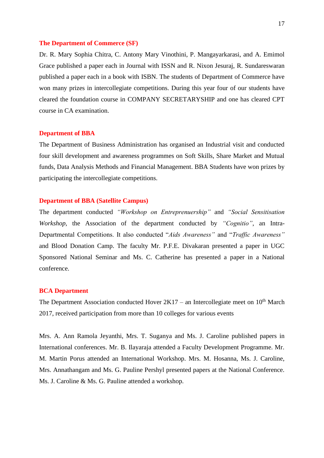# **The Department of Commerce (SF)**

Dr. R. Mary Sophia Chitra, C. Antony Mary Vinothini, P. Mangayarkarasi, and A. Emimol Grace published a paper each in Journal with ISSN and R. Nixon Jesuraj, R. Sundareswaran published a paper each in a book with ISBN. The students of Department of Commerce have won many prizes in intercollegiate competitions. During this year four of our students have cleared the foundation course in COMPANY SECRETARYSHIP and one has cleared CPT course in CA examination.

## **Department of BBA**

The Department of Business Administration has organised an Industrial visit and conducted four skill development and awareness programmes on Soft Skills, Share Market and Mutual funds, Data Analysis Methods and Financial Management. BBA Students have won prizes by participating the intercollegiate competitions.

# **Department of BBA (Satellite Campus)**

The department conducted *"Workshop on Entreprenuership"* and *"Social Sensitisation Workshop,* the Association of the department conducted by *"Cognitio"*, an Intra-Departmental Competitions. It also conducted "*Aids Awareness"* and "*Traffic Awareness"* and Blood Donation Camp. The faculty Mr. P.F.E. Divakaran presented a paper in UGC Sponsored National Seminar and Ms. C. Catherine has presented a paper in a National conference.

# **BCA Department**

The Department Association conducted Hover  $2K17 -$  an Intercollegiate meet on  $10<sup>th</sup>$  March 2017, received participation from more than 10 colleges for various events

Mrs. A. Ann Ramola Jeyanthi, Mrs. T. Suganya and Ms. J. Caroline published papers in International conferences. Mr. B. Ilayaraja attended a Faculty Development Programme. Mr. M. Martin Porus attended an International Workshop. Mrs. M. Hosanna, Ms. J. Caroline, Mrs. Annathangam and Ms. G. Pauline Pershyl presented papers at the National Conference. Ms. J. Caroline & Ms. G. Pauline attended a workshop.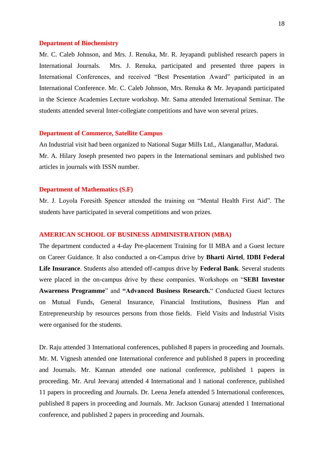#### **Department of Biochemistry**

Mr. C. Caleb Johnson, and Mrs. J. Renuka, Mr. R. Jeyapandi published research papers in International Journals. Mrs. J. Renuka, participated and presented three papers in International Conferences, and received "Best Presentation Award" participated in an International Conference. Mr. C. Caleb Johnson, Mrs. Renuka & Mr. Jeyapandi participated in the Science Academies Lecture workshop. Mr. Sama attended International Seminar. The students attended several Inter-collegiate competitions and have won several prizes.

## **Department of Commerce, Satellite Campus**

An Industrial visit had been organized to National Sugar Mills Ltd., Alanganallur, Madurai. Mr. A. Hilary Joseph presented two papers in the International seminars and published two articles in journals with ISSN number.

### **Department of Mathematics (S.F)**

Mr. J. Loyola Foresith Spencer attended the training on "Mental Health First Aid". The students have participated in several competitions and won prizes.

# **AMERICAN SCHOOL OF BUSINESS ADMINISTRATION (MBA)**

The department conducted a 4-day Pre-placement Training for II MBA and a Guest lecture on Career Guidance. It also conducted a on-Campus drive by **Bharti Airtel**, **IDBI Federal Life Insurance**. Students also attended off-campus drive by **Federal Bank**. Several students were placed in the on-campus drive by these companies. Workshops on "**SEBI Investor Awareness Programme**" and **"Advanced Business Research.**" Conducted Guest lectures on Mutual Funds, General Insurance, Financial Institutions, Business Plan and Entrepreneurship by resources persons from those fields. Field Visits and Industrial Visits were organised for the students.

Dr. Raju attended 3 International conferences, published 8 papers in proceeding and Journals. Mr. M. Vignesh attended one International conference and published 8 papers in proceeding and Journals. Mr. Kannan attended one national conference, published 1 papers in proceeding. Mr. Arul Jeevaraj attended 4 International and 1 national conference, published 11 papers in proceeding and Journals. Dr. Leena Jenefa attended 5 International conferences, published 8 papers in proceeding and Journals. Mr. Jackson Gunaraj attended 1 International conference, and published 2 papers in proceeding and Journals.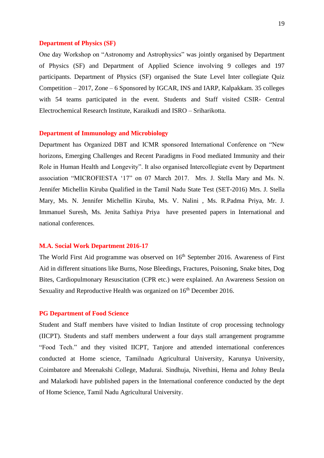## **Department of Physics (SF)**

One day Workshop on "Astronomy and Astrophysics" was jointly organised by Department of Physics (SF) and Department of Applied Science involving 9 colleges and 197 participants. Department of Physics (SF) organised the State Level Inter collegiate Quiz Competition – 2017, Zone – 6 Sponsored by IGCAR, INS and IARP, Kalpakkam. 35 colleges with 54 teams participated in the event. Students and Staff visited CSIR- Central Electrochemical Research Institute, Karaikudi and ISRO – Sriharikotta.

## **Department of Immunology and Microbiology**

Department has Organized DBT and ICMR sponsored International Conference on "New horizons, Emerging Challenges and Recent Paradigms in Food mediated Immunity and their Role in Human Health and Longevity". It also organised Intercollegiate event by Department association "MICROFIESTA '17" on 07 March 2017. Mrs. J. Stella Mary and Ms. N. Jennifer Michellin Kiruba Qualified in the Tamil Nadu State Test (SET-2016) Mrs. J. Stella Mary, Ms. N. Jennifer Michellin Kiruba, Ms. V. Nalini , Ms. R.Padma Priya, Mr. J. Immanuel Suresh, Ms. Jenita Sathiya Priya have presented papers in International and national conferences.

#### **M.A. Social Work Department 2016-17**

The World First Aid programme was observed on 16<sup>th</sup> September 2016. Awareness of First Aid in different situations like Burns, Nose Bleedings, Fractures, Poisoning, Snake bites, Dog Bites, Cardiopulmonary Resuscitation (CPR etc.) were explained. An Awareness Session on Sexuality and Reproductive Health was organized on 16<sup>th</sup> December 2016.

## **PG Department of Food Science**

Student and Staff members have visited to Indian Institute of crop processing technology (IICPT). Students and staff members underwent a four days stall arrangement programme "Food Tech." and they visited IICPT, Tanjore and attended international conferences conducted at Home science, Tamilnadu Agricultural University, Karunya University, Coimbatore and Meenakshi College, Madurai. Sindhuja, Nivethini, Hema and Johny Beula and Malarkodi have published papers in the International conference conducted by the dept of Home Science, Tamil Nadu Agricultural University.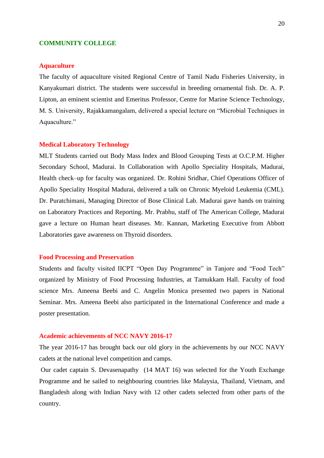# **COMMUNITY COLLEGE**

# **Aquaculture**

The faculty of aquaculture visited Regional Centre of Tamil Nadu Fisheries University, in Kanyakumari district. The students were successful in breeding ornamental fish. Dr. A. P. Lipton, an eminent scientist and Emeritus Professor, Centre for Marine Science Technology, M. S. University, Rajakkamangalam, delivered a special lecture on "Microbial Techniques in Aquaculture."

#### **Medical Laboratory Technology**

MLT Students carried out Body Mass Index and Blood Grouping Tests at O.C.P.M. Higher Secondary School, Madurai. In Collaboration with Apollo Speciality Hospitals, Madurai, Health check–up for faculty was organized. Dr. Rohini Sridhar, Chief Operations Officer of Apollo Speciality Hospital Madurai, delivered a talk on Chronic Myeloid Leukemia (CML). Dr. Puratchimani, Managing Director of Bose Clinical Lab. Madurai gave hands on training on Laboratory Practices and Reporting. Mr. Prabhu, staff of The American College, Madurai gave a lecture on Human heart diseases. Mr. Kannan, Marketing Executive from Abbott Laboratories gave awareness on Thyroid disorders.

# **Food Processing and Preservation**

Students and faculty visited IICPT "Open Day Programme" in Tanjore and "Food Tech" organized by Ministry of Food Processing Industries, at Tamukkam Hall. Faculty of food science Mrs. Ameena Beebi and C. Angelin Monica presented two papers in National Seminar. Mrs. Ameena Beebi also participated in the International Conference and made a poster presentation.

# **Academic achievements of NCC NAVY 2016-17**

The year 2016-17 has brought back our old glory in the achievements by our NCC NAVY cadets at the national level competition and camps.

Our cadet captain S. Devasenapathy (14 MAT 16) was selected for the Youth Exchange Programme and he sailed to neighbouring countries like Malaysia, Thailand, Vietnam, and Bangladesh along with Indian Navy with 12 other cadets selected from other parts of the country.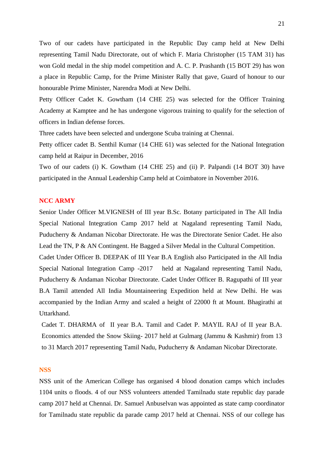Two of our cadets have participated in the Republic Day camp held at New Delhi representing Tamil Nadu Directorate, out of which F. Maria Christopher (15 TAM 31) has won Gold medal in the ship model competition and A. C. P. Prashanth (15 BOT 29) has won a place in Republic Camp, for the Prime Minister Rally that gave, Guard of honour to our honourable Prime Minister, Narendra Modi at New Delhi.

Petty Officer Cadet K. Gowtham (14 CHE 25) was selected for the Officer Training Academy at Kamptee and he has undergone vigorous training to qualify for the selection of officers in Indian defense forces.

Three cadets have been selected and undergone Scuba training at Chennai.

Petty officer cadet B. Senthil Kumar (14 CHE 61) was selected for the National Integration camp held at Raipur in December, 2016

Two of our cadets (i) K. Gowtham (14 CHE 25) and (ii) P. Palpandi (14 BOT 30) have participated in the Annual Leadership Camp held at Coimbatore in November 2016.

# **NCC ARMY**

Senior Under Officer M.VIGNESH of III year B.Sc. Botany participated in The All India Special National Integration Camp 2017 held at Nagaland representing Tamil Nadu, Puducherry & Andaman Nicobar Directorate. He was the Directorate Senior Cadet. He also Lead the TN, P & AN Contingent. He Bagged a Silver Medal in the Cultural Competition. Cadet Under Officer B. DEEPAK of III Year B.A English also Participated in the All India Special National Integration Camp -2017 held at Nagaland representing Tamil Nadu, Puducherry & Andaman Nicobar Directorate. Cadet Under Officer B. Ragupathi of III year B.A Tamil attended All India Mountaineering Expedition held at New Delhi. He was accompanied by the Indian Army and scaled a height of 22000 ft at Mount. Bhagirathi at Uttarkhand.

Cadet T. DHARMA of II year B.A. Tamil and Cadet P. MAYIL RAJ of II year B.A. Economics attended the Snow Skiing- 2017 held at Gulmarg (Jammu & Kashmir) from 13 to 31 March 2017 representing Tamil Nadu, Puducherry & Andaman Nicobar Directorate.

# **NSS**

NSS unit of the American College has organised 4 blood donation camps which includes 1104 units o floods. 4 of our NSS volunteers attended Tamilnadu state republic day parade camp 2017 held at Chennai. Dr. Samuel Anbuselvan was appointed as state camp coordinator for Tamilnadu state republic da parade camp 2017 held at Chennai. NSS of our college has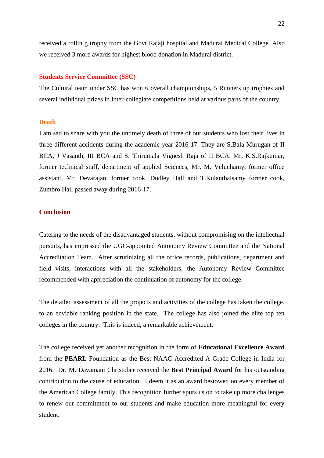received a rollin g trophy from the Govt Rajaji hospital and Madurai Medical College. Also we received 3 more awards for highest blood donation in Madurai district.

# **Students Service Committee (SSC)**

The Cultural team under SSC has won 6 overall championships, 5 Runners up trophies and several individual prizes in Inter-collegiate competitions held at various parts of the country.

# **Death**

I am sad to share with you the untimely death of three of our students who lost their lives in three different accidents during the academic year 2016-17. They are S.Bala Murugan of II BCA, J Vasanth, III BCA and S. Thirumala Vignesh Raja of II BCA. Mr. K.S.Rajkumar, former technical staff, department of applied Sciences, Mr. M. Veluchamy, former office assistant, Mr. Devarajan, former cook, Dudley Hall and T.Kulanthaisamy former cook, Zumbro Hall passed away during 2016-17.

# **Conclusion**

Catering to the needs of the disadvantaged students, without compromising on the intellectual pursuits, has impressed the UGC-appointed Autonomy Review Committee and the National Accreditation Team. After scrutinizing all the office records, publications, department and field visits, interactions with all the stakeholders, the Autonomy Review Committee recommended with appreciation the continuation of autonomy for the college.

The detailed assessment of all the projects and activities of the college has taken the college, to an enviable ranking position in the state. The college has also joined the elite top ten colleges in the country. This is indeed, a remarkable achievement.

The college received yet another recognition in the form of **Educational Excellence Award** from the **PEARL** Foundation as the Best NAAC Accredited A Grade College in India for 2016. Dr. M. Davamani Christober received the **Best Principal Award** for his outstanding contribution to the cause of education. I deem it as an award bestowed on every member of the American College family. This recognition further spurs us on to take up more challenges to renew our commitment to our students and make education more meaningful for every student.